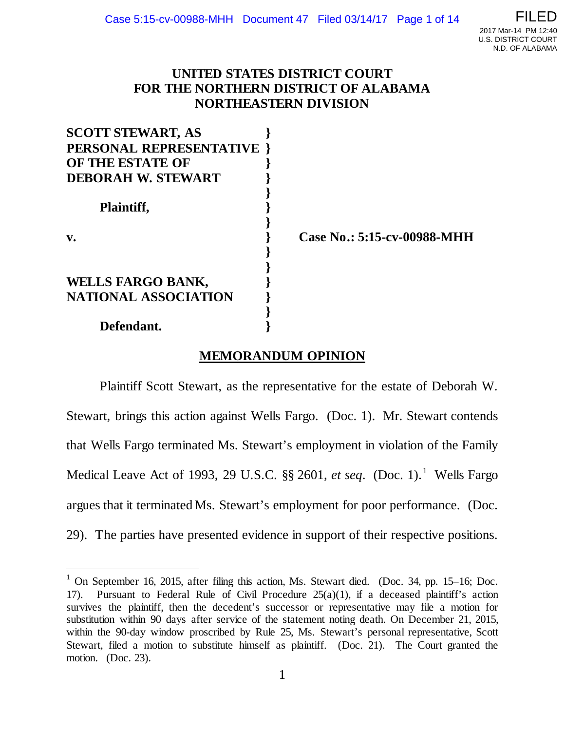# **UNITED STATES DISTRICT COURT FOR THE NORTHERN DISTRICT OF ALABAMA NORTHEASTERN DIVISION**

| <b>SCOTT STEWART, AS</b>    |  |
|-----------------------------|--|
| PERSONAL REPRESENTATIVE     |  |
| OF THE ESTATE OF            |  |
| <b>DEBORAH W. STEWART</b>   |  |
|                             |  |
| Plaintiff,                  |  |
|                             |  |
| v.                          |  |
|                             |  |
|                             |  |
| <b>WELLS FARGO BANK,</b>    |  |
| <b>NATIONAL ASSOCIATION</b> |  |
|                             |  |
| Defendant.                  |  |

**v. } Case No.: 5:15-cv-00988-MHH**

# **MEMORANDUM OPINION**

Plaintiff Scott Stewart, as the representative for the estate of Deborah W. Stewart, brings this action against Wells Fargo. (Doc. 1). Mr. Stewart contends that Wells Fargo terminated Ms. Stewart's employment in violation of the Family Medical Leave Act of [1](#page-0-0)993, 29 U.S.C.  $\S$  2601, *et seq.* (Doc. 1).<sup>1</sup> Wells Fargo argues that it terminated Ms. Stewart's employment for poor performance. (Doc. 29). The parties have presented evidence in support of their respective positions.

<span id="page-0-0"></span><sup>&</sup>lt;sup>1</sup> On September 16, 2015, after filing this action, Ms. Stewart died. (Doc. 34, pp. 15–16; Doc. 17). Pursuant to Federal Rule of Civil Procedure  $25(a)(1)$ , if a deceased plaintiff's action survives the plaintiff, then the decedent's successor or representative may file a motion for substitution within 90 days after service of the statement noting death. On December 21, 2015, within the 90-day window proscribed by Rule 25, Ms. Stewart's personal representative, Scott Stewart, filed a motion to substitute himself as plaintiff. (Doc. 21). The Court granted the motion. (Doc. 23).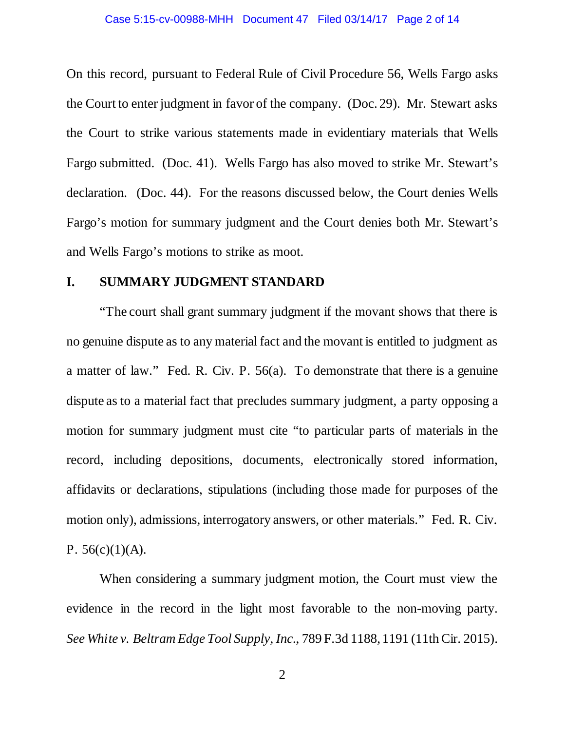#### Case 5:15-cv-00988-MHH Document 47 Filed 03/14/17 Page 2 of 14

On this record, pursuant to Federal Rule of Civil Procedure 56, Wells Fargo asks the Court to enter judgment in favor of the company. (Doc. 29). Mr. Stewart asks the Court to strike various statements made in evidentiary materials that Wells Fargo submitted. (Doc. 41). Wells Fargo has also moved to strike Mr. Stewart's declaration. (Doc. 44). For the reasons discussed below, the Court denies Wells Fargo's motion for summary judgment and the Court denies both Mr. Stewart's and Wells Fargo's motions to strike as moot.

### **I. SUMMARY JUDGMENT STANDARD**

"The court shall grant summary judgment if the movant shows that there is no genuine dispute as to any material fact and the movant is entitled to judgment as a matter of law." Fed. R. Civ. P. 56(a). To demonstrate that there is a genuine dispute as to a material fact that precludes summary judgment, a party opposing a motion for summary judgment must cite "to particular parts of materials in the record, including depositions, documents, electronically stored information, affidavits or declarations, stipulations (including those made for purposes of the motion only), admissions, interrogatory answers, or other materials." Fed. R. Civ. P. 56(c)(1)(A).

When considering a summary judgment motion, the Court must view the evidence in the record in the light most favorable to the non-moving party. *See White v. Beltram Edge Tool Supply, Inc.*, 789 F.3d 1188, 1191 (11th Cir. 2015).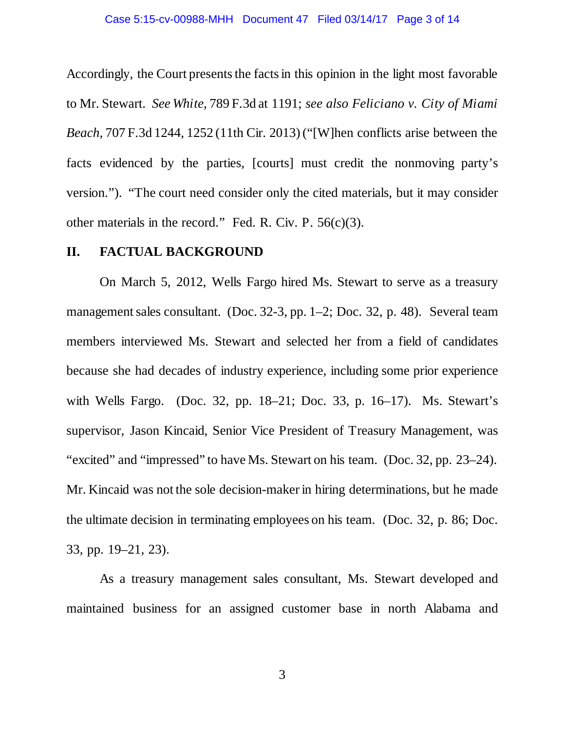#### Case 5:15-cv-00988-MHH Document 47 Filed 03/14/17 Page 3 of 14

Accordingly, the Court presents the facts in this opinion in the light most favorable to Mr. Stewart. *See White*, 789 F.3d at 1191; *see also Feliciano v. City of Miami Beach*, 707 F.3d 1244, 1252 (11th Cir. 2013) ("[W]hen conflicts arise between the facts evidenced by the parties, [courts] must credit the nonmoving party's version."). "The court need consider only the cited materials, but it may consider other materials in the record." Fed. R. Civ. P.  $56(c)(3)$ .

### **II. FACTUAL BACKGROUND**

On March 5, 2012, Wells Fargo hired Ms. Stewart to serve as a treasury management sales consultant. (Doc. 32-3, pp. 1–2; Doc. 32, p. 48). Several team members interviewed Ms. Stewart and selected her from a field of candidates because she had decades of industry experience, including some prior experience with Wells Fargo. (Doc. 32, pp. 18–21; Doc. 33, p. 16–17). Ms. Stewart's supervisor, Jason Kincaid, Senior Vice President of Treasury Management, was "excited" and "impressed" to have Ms. Stewart on his team. (Doc. 32, pp. 23–24). Mr. Kincaid was not the sole decision-maker in hiring determinations, but he made the ultimate decision in terminating employees on his team. (Doc. 32, p. 86; Doc. 33, pp. 19–21, 23).

As a treasury management sales consultant, Ms. Stewart developed and maintained business for an assigned customer base in north Alabama and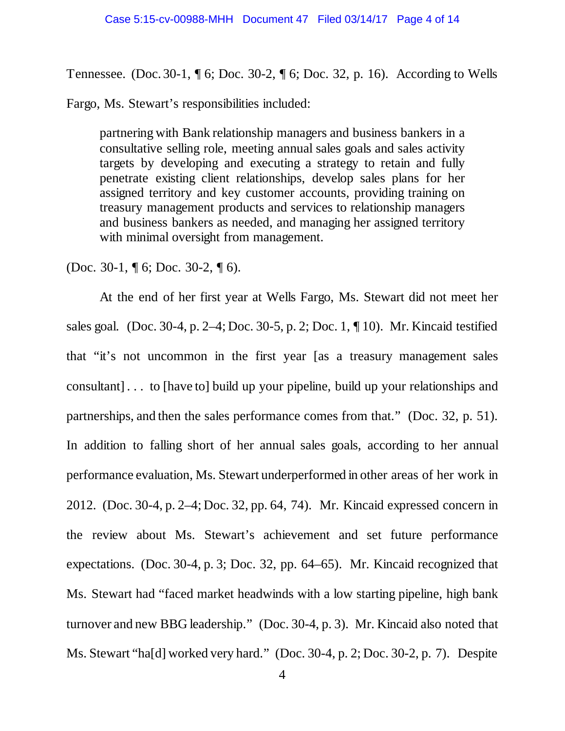Tennessee. (Doc. 30-1, ¶ 6; Doc. 30-2, ¶ 6; Doc. 32, p. 16). According to Wells

Fargo, Ms. Stewart's responsibilities included:

partnering with Bank relationship managers and business bankers in a consultative selling role, meeting annual sales goals and sales activity targets by developing and executing a strategy to retain and fully penetrate existing client relationships, develop sales plans for her assigned territory and key customer accounts, providing training on treasury management products and services to relationship managers and business bankers as needed, and managing her assigned territory with minimal oversight from management.

(Doc. 30-1, ¶ 6; Doc. 30-2, ¶ 6).

At the end of her first year at Wells Fargo, Ms. Stewart did not meet her sales goal. (Doc. 30-4, p. 2–4; Doc. 30-5, p. 2; Doc. 1, ¶ 10). Mr. Kincaid testified that "it's not uncommon in the first year [as a treasury management sales consultant] . . . to [have to] build up your pipeline, build up your relationships and partnerships, and then the sales performance comes from that." (Doc. 32, p. 51). In addition to falling short of her annual sales goals, according to her annual performance evaluation, Ms. Stewart underperformed in other areas of her work in 2012. (Doc. 30-4, p. 2–4; Doc. 32, pp. 64, 74). Mr. Kincaid expressed concern in the review about Ms. Stewart's achievement and set future performance expectations. (Doc. 30-4, p. 3; Doc. 32, pp. 64–65). Mr. Kincaid recognized that Ms. Stewart had "faced market headwinds with a low starting pipeline, high bank turnover and new BBG leadership." (Doc. 30-4, p. 3). Mr. Kincaid also noted that Ms. Stewart "ha[d] worked very hard." (Doc. 30-4, p. 2; Doc. 30-2, p. 7). Despite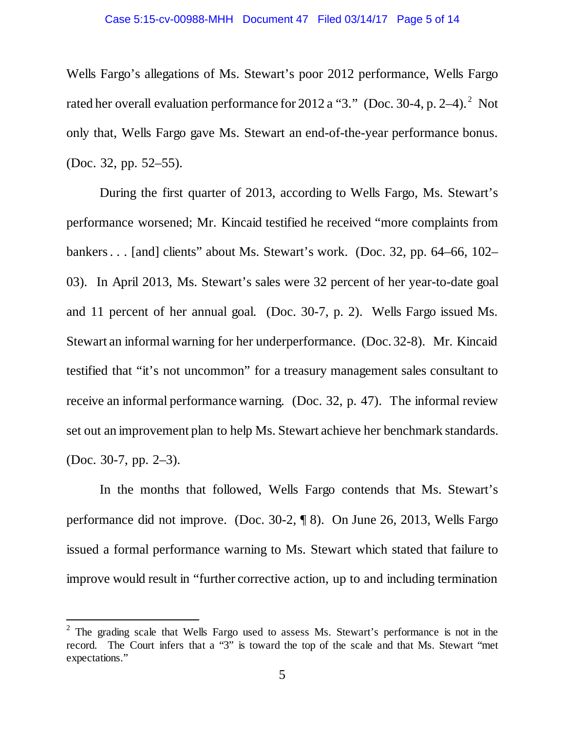Wells Fargo's allegations of Ms. Stewart's poor 2012 performance, Wells Fargo rated her overall evaluation performance for [2](#page-4-0)012 a "3." (Doc. 30-4, p. 2–4). $^2$  Not only that, Wells Fargo gave Ms. Stewart an end-of-the-year performance bonus. (Doc. 32, pp. 52–55).

During the first quarter of 2013, according to Wells Fargo, Ms. Stewart's performance worsened; Mr. Kincaid testified he received "more complaints from bankers . . . [and] clients" about Ms. Stewart's work. (Doc. 32, pp. 64–66, 102– 03). In April 2013, Ms. Stewart's sales were 32 percent of her year-to-date goal and 11 percent of her annual goal. (Doc. 30-7, p. 2). Wells Fargo issued Ms. Stewart an informal warning for her underperformance. (Doc. 32-8). Mr. Kincaid testified that "it's not uncommon" for a treasury management sales consultant to receive an informal performance warning. (Doc. 32, p. 47). The informal review set out an improvement plan to help Ms. Stewart achieve her benchmark standards. (Doc. 30-7, pp. 2–3).

In the months that followed, Wells Fargo contends that Ms. Stewart's performance did not improve. (Doc. 30-2, ¶ 8). On June 26, 2013, Wells Fargo issued a formal performance warning to Ms. Stewart which stated that failure to improve would result in "further corrective action, up to and including termination

<span id="page-4-0"></span> $2$  The grading scale that Wells Fargo used to assess Ms. Stewart's performance is not in the record. The Court infers that a "3" is toward the top of the scale and that Ms. Stewart "met expectations."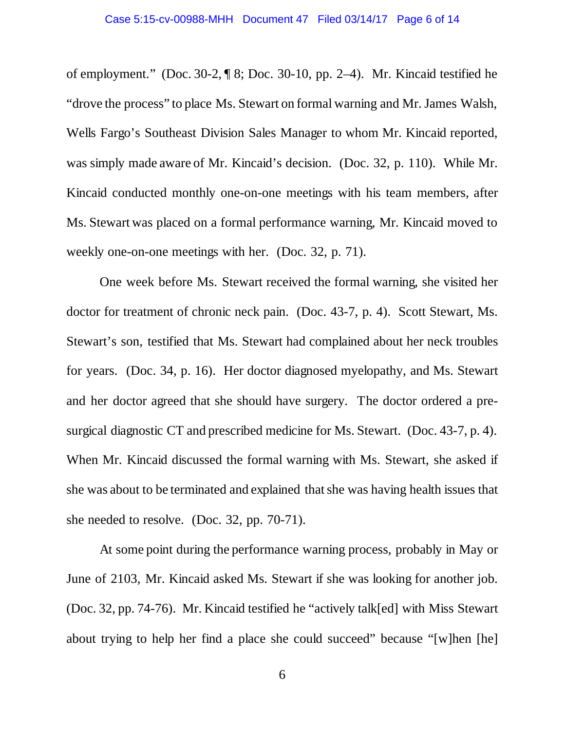of employment." (Doc. 30-2, ¶ 8; Doc. 30-10, pp. 2–4). Mr. Kincaid testified he "drove the process" to place Ms. Stewart on formal warning and Mr. James Walsh, Wells Fargo's Southeast Division Sales Manager to whom Mr. Kincaid reported, was simply made aware of Mr. Kincaid's decision. (Doc. 32, p. 110). While Mr. Kincaid conducted monthly one-on-one meetings with his team members, after Ms. Stewart was placed on a formal performance warning, Mr. Kincaid moved to weekly one-on-one meetings with her. (Doc. 32, p. 71).

One week before Ms. Stewart received the formal warning, she visited her doctor for treatment of chronic neck pain. (Doc. 43-7, p. 4). Scott Stewart, Ms. Stewart's son, testified that Ms. Stewart had complained about her neck troubles for years. (Doc. 34, p. 16). Her doctor diagnosed myelopathy, and Ms. Stewart and her doctor agreed that she should have surgery. The doctor ordered a presurgical diagnostic CT and prescribed medicine for Ms. Stewart. (Doc. 43-7, p. 4). When Mr. Kincaid discussed the formal warning with Ms. Stewart, she asked if she was about to be terminated and explained that she was having health issues that she needed to resolve. (Doc. 32, pp. 70-71).

At some point during the performance warning process, probably in May or June of 2103, Mr. Kincaid asked Ms. Stewart if she was looking for another job. (Doc. 32, pp. 74-76). Mr. Kincaid testified he "actively talk[ed] with Miss Stewart about trying to help her find a place she could succeed" because "[w]hen [he]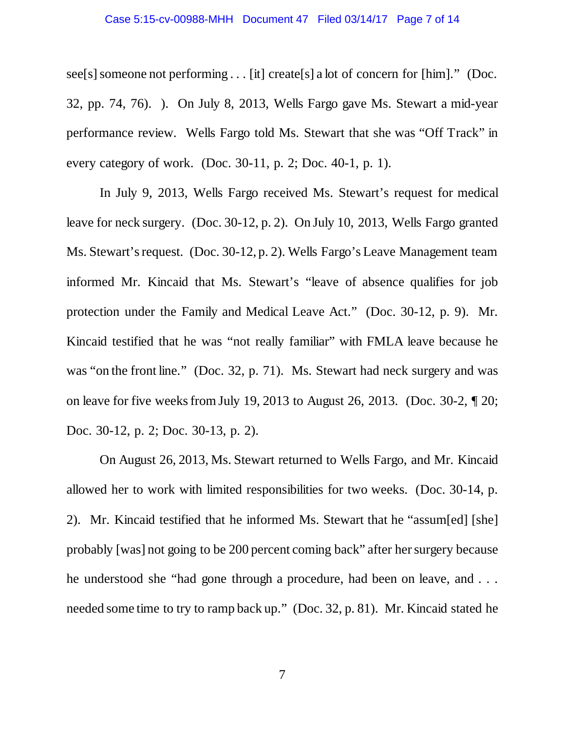#### Case 5:15-cv-00988-MHH Document 47 Filed 03/14/17 Page 7 of 14

see[s] someone not performing . . . [it] create[s] a lot of concern for [him]." (Doc. 32, pp. 74, 76). ). On July 8, 2013, Wells Fargo gave Ms. Stewart a mid-year performance review. Wells Fargo told Ms. Stewart that she was "Off Track" in every category of work. (Doc. 30-11, p. 2; Doc. 40-1, p. 1).

In July 9, 2013, Wells Fargo received Ms. Stewart's request for medical leave for neck surgery. (Doc. 30-12, p. 2). On July 10, 2013, Wells Fargo granted Ms. Stewart's request. (Doc. 30-12, p. 2). Wells Fargo's Leave Management team informed Mr. Kincaid that Ms. Stewart's "leave of absence qualifies for job protection under the Family and Medical Leave Act." (Doc. 30-12, p. 9). Mr. Kincaid testified that he was "not really familiar" with FMLA leave because he was "on the front line." (Doc. 32, p. 71). Ms. Stewart had neck surgery and was on leave for five weeks from July 19, 2013 to August 26, 2013. (Doc. 30-2, ¶ 20; Doc. 30-12, p. 2; Doc. 30-13, p. 2).

On August 26, 2013, Ms. Stewart returned to Wells Fargo, and Mr. Kincaid allowed her to work with limited responsibilities for two weeks. (Doc. 30-14, p. 2). Mr. Kincaid testified that he informed Ms. Stewart that he "assum[ed] [she] probably [was] not going to be 200 percent coming back" after her surgery because he understood she "had gone through a procedure, had been on leave, and . . . needed some time to try to ramp back up." (Doc. 32, p. 81). Mr. Kincaid stated he

7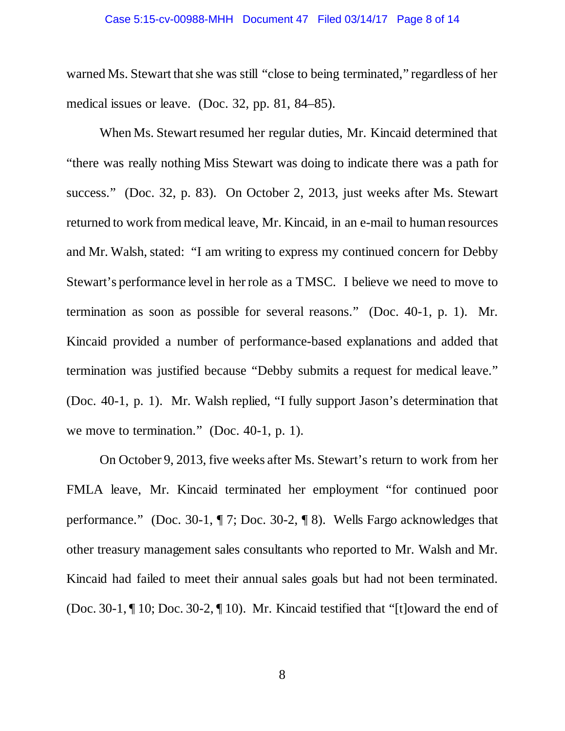#### Case 5:15-cv-00988-MHH Document 47 Filed 03/14/17 Page 8 of 14

warned Ms. Stewart that she was still "close to being terminated," regardless of her medical issues or leave. (Doc. 32, pp. 81, 84–85).

When Ms. Stewart resumed her regular duties, Mr. Kincaid determined that "there was really nothing Miss Stewart was doing to indicate there was a path for success." (Doc. 32, p. 83). On October 2, 2013, just weeks after Ms. Stewart returned to work from medical leave, Mr. Kincaid, in an e-mail to human resources and Mr. Walsh, stated: "I am writing to express my continued concern for Debby Stewart's performance level in her role as a TMSC. I believe we need to move to termination as soon as possible for several reasons." (Doc. 40-1, p. 1). Mr. Kincaid provided a number of performance-based explanations and added that termination was justified because "Debby submits a request for medical leave." (Doc. 40-1, p. 1). Mr. Walsh replied, "I fully support Jason's determination that we move to termination." (Doc. 40-1, p. 1).

On October 9, 2013, five weeks after Ms. Stewart's return to work from her FMLA leave, Mr. Kincaid terminated her employment "for continued poor performance." (Doc. 30-1, ¶ 7; Doc. 30-2, ¶ 8). Wells Fargo acknowledges that other treasury management sales consultants who reported to Mr. Walsh and Mr. Kincaid had failed to meet their annual sales goals but had not been terminated. (Doc. 30-1, ¶ 10; Doc. 30-2, ¶ 10). Mr. Kincaid testified that "[t]oward the end of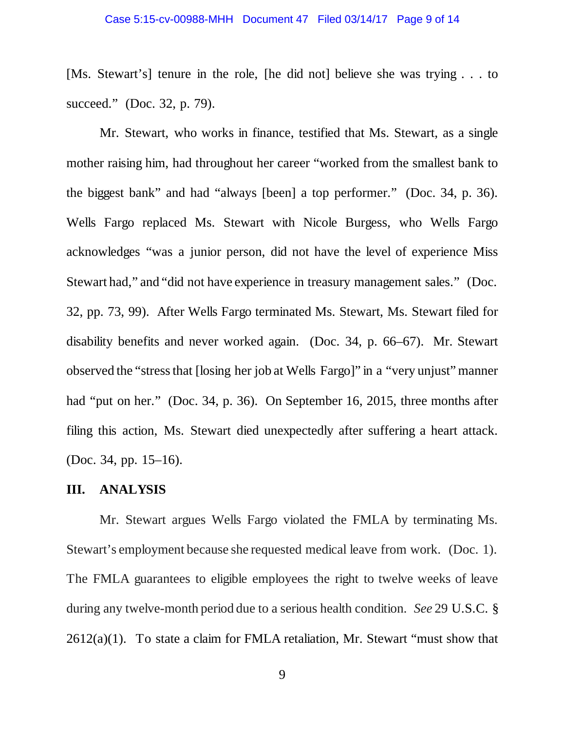[Ms. Stewart's] tenure in the role, [he did not] believe she was trying . . . to succeed." (Doc. 32, p. 79).

Mr. Stewart, who works in finance, testified that Ms. Stewart, as a single mother raising him, had throughout her career "worked from the smallest bank to the biggest bank" and had "always [been] a top performer." (Doc. 34, p. 36). Wells Fargo replaced Ms. Stewart with Nicole Burgess, who Wells Fargo acknowledges "was a junior person, did not have the level of experience Miss Stewart had," and "did not have experience in treasury management sales." (Doc. 32, pp. 73, 99). After Wells Fargo terminated Ms. Stewart, Ms. Stewart filed for disability benefits and never worked again. (Doc. 34, p. 66–67). Mr. Stewart observed the "stress that [losing her job at Wells Fargo]" in a "very unjust" manner had "put on her." (Doc. 34, p. 36). On September 16, 2015, three months after filing this action, Ms. Stewart died unexpectedly after suffering a heart attack. (Doc. 34, pp. 15–16).

### **III. ANALYSIS**

Mr. Stewart argues Wells Fargo violated the FMLA by terminating Ms. Stewart's employment because she requested medical leave from work. (Doc. 1). The FMLA guarantees to eligible employees the right to twelve weeks of leave during any twelve-month period due to a serious health condition. *See* 29 U.S.C. § 2612(a)(1). To state a claim for FMLA retaliation, Mr. Stewart "must show that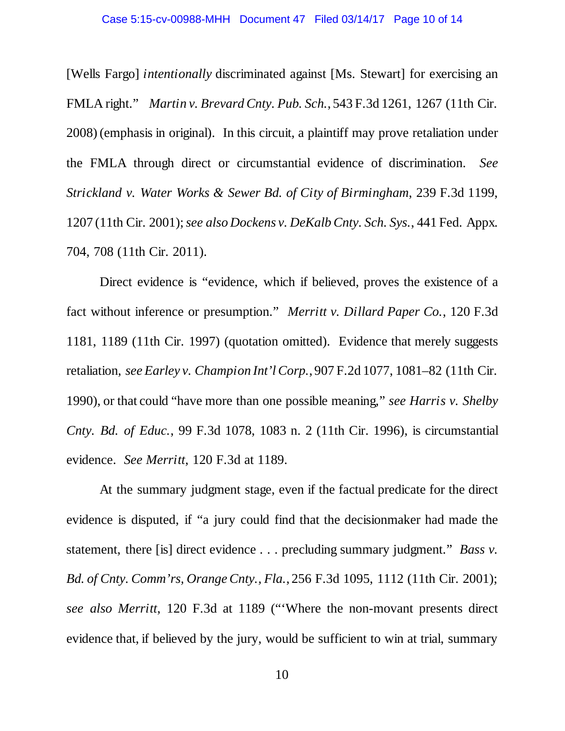[Wells Fargo] *intentionally* discriminated against [Ms. Stewart] for exercising an FMLA right." *Martin v. Brevard Cnty. Pub. Sch.*, 543 F.3d 1261, 1267 (11th Cir. 2008) (emphasis in original). In this circuit, a plaintiff may prove retaliation under the FMLA through direct or circumstantial evidence of discrimination. *See Strickland v. Water Works & Sewer Bd. of City of Birmingham*, 239 F.3d 1199, 1207 (11th Cir. 2001); *see also Dockens v. DeKalb Cnty. Sch. Sys.*, 441 Fed. Appx. 704, 708 (11th Cir. 2011).

Direct evidence is "evidence, which if believed, proves the existence of a fact without inference or presumption." *Merritt v. Dillard Paper Co.*, 120 F.3d 1181, 1189 (11th Cir. 1997) (quotation omitted). Evidence that merely suggests retaliation, *see Earley v. Champion Int'l Corp.*, 907 F.2d 1077, 1081–82 (11th Cir. 1990), or that could "have more than one possible meaning," *see Harris v. Shelby Cnty. Bd. of Educ.*, 99 F.3d 1078, 1083 n. 2 (11th Cir. 1996), is circumstantial evidence. *See Merritt*, 120 F.3d at 1189.

At the summary judgment stage, even if the factual predicate for the direct evidence is disputed, if "a jury could find that the decisionmaker had made the statement, there [is] direct evidence . . . precluding summary judgment." *Bass v. Bd. of Cnty. Comm'rs, Orange Cnty., Fla.*, 256 F.3d 1095, 1112 (11th Cir. 2001); *see also Merritt*, 120 F.3d at 1189 ("'Where the non-movant presents direct evidence that, if believed by the jury, would be sufficient to win at trial, summary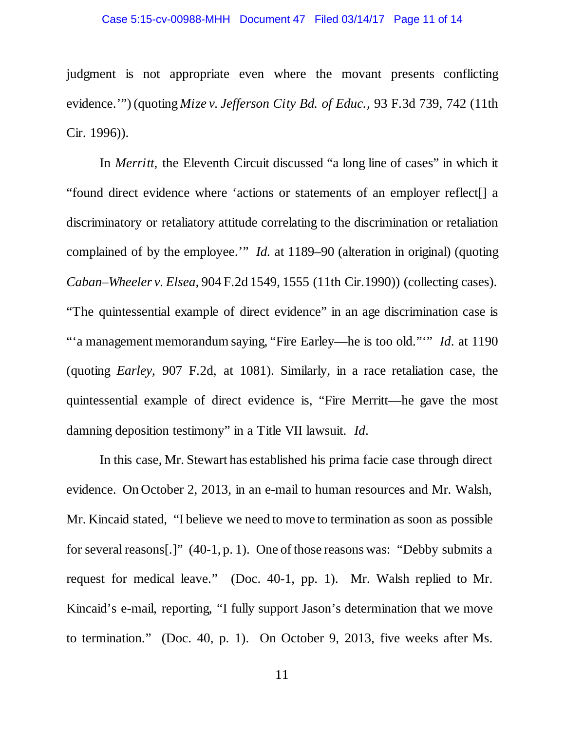#### Case 5:15-cv-00988-MHH Document 47 Filed 03/14/17 Page 11 of 14

judgment is not appropriate even where the movant presents conflicting evidence.'") (quoting *Mize v. Jefferson City Bd. of Educ.,* 93 F.3d 739, 742 (11th Cir. 1996)).

In *Merritt*, the Eleventh Circuit discussed "a long line of cases" in which it "found direct evidence where 'actions or statements of an employer reflect[] a discriminatory or retaliatory attitude correlating to the discrimination or retaliation complained of by the employee.'" *Id.* at 1189–90 (alteration in original) (quoting *Caban–Wheeler v. Elsea,* 904 F.2d 1549, 1555 (11th Cir.1990)) (collecting cases). "The quintessential example of direct evidence" in an age discrimination case is "'a management memorandum saying, "Fire Earley—he is too old."'" *Id*. at 1190 (quoting *Earley*, 907 F.2d, at 1081). Similarly, in a race retaliation case, the quintessential example of direct evidence is, "Fire Merritt—he gave the most damning deposition testimony" in a Title VII lawsuit. *Id*.

In this case, Mr. Stewart has established his prima facie case through direct evidence. On October 2, 2013, in an e-mail to human resources and Mr. Walsh, Mr. Kincaid stated, "I believe we need to move to termination as soon as possible for several reasons[.]" (40-1, p. 1). One of those reasons was: "Debby submits a request for medical leave." (Doc. 40-1, pp. 1). Mr. Walsh replied to Mr. Kincaid's e-mail, reporting, "I fully support Jason's determination that we move to termination." (Doc. 40, p. 1). On October 9, 2013, five weeks after Ms.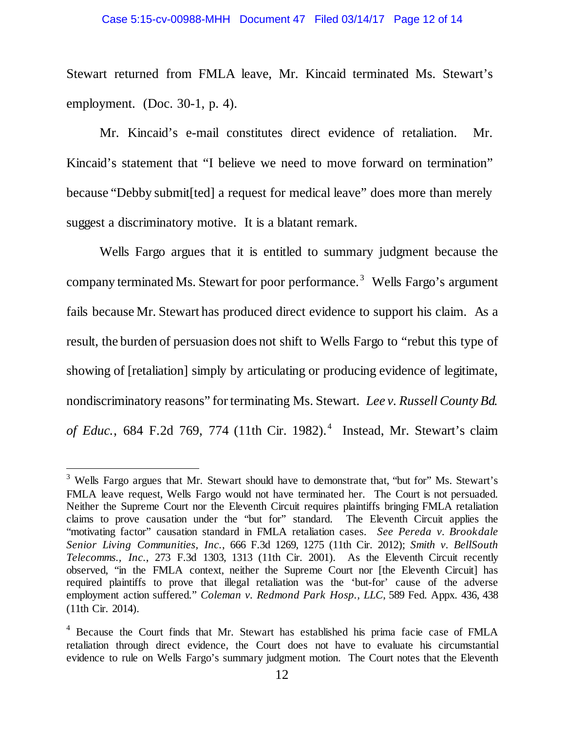Stewart returned from FMLA leave, Mr. Kincaid terminated Ms. Stewart's employment. (Doc. 30-1, p. 4).

Mr. Kincaid's e-mail constitutes direct evidence of retaliation. Mr. Kincaid's statement that "I believe we need to move forward on termination" because "Debby submit[ted] a request for medical leave" does more than merely suggest a discriminatory motive. It is a blatant remark.

Wells Fargo argues that it is entitled to summary judgment because the company terminated Ms. Stewart for poor performance. [3](#page-11-0) Wells Fargo's argument fails because Mr. Stewart has produced direct evidence to support his claim. As a result, the burden of persuasion does not shift to Wells Fargo to "rebut this type of showing of [retaliation] simply by articulating or producing evidence of legitimate, nondiscriminatory reasons" for terminating Ms. Stewart. *Lee v. Russell County Bd.*  of Educ., 68[4](#page-11-1) F.2d 769, 774 (11th Cir. 1982).<sup>4</sup> Instead, Mr. Stewart's claim

<span id="page-11-0"></span><sup>&</sup>lt;sup>3</sup> Wells Fargo argues that Mr. Stewart should have to demonstrate that, "but for" Ms. Stewart's FMLA leave request, Wells Fargo would not have terminated her. The Court is not persuaded. Neither the Supreme Court nor the Eleventh Circuit requires plaintiffs bringing FMLA retaliation claims to prove causation under the "but for" standard. The Eleventh Circuit applies the "motivating factor" causation standard in FMLA retaliation cases. *See Pereda v. Brookdale Senior Living Communities, Inc.*, 666 F.3d 1269, 1275 (11th Cir. 2012); *Smith v. BellSouth Telecomms., Inc.*, 273 F.3d 1303, 1313 (11th Cir. 2001). As the Eleventh Circuit recently observed, "in the FMLA context, neither the Supreme Court nor [the Eleventh Circuit] has required plaintiffs to prove that illegal retaliation was the 'but-for' cause of the adverse employment action suffered." *Coleman v. Redmond Park Hosp., LLC*, 589 Fed. Appx. 436, 438 (11th Cir. 2014).

<span id="page-11-1"></span><sup>4</sup> Because the Court finds that Mr. Stewart has established his prima facie case of FMLA retaliation through direct evidence, the Court does not have to evaluate his circumstantial evidence to rule on Wells Fargo's summary judgment motion. The Court notes that the Eleventh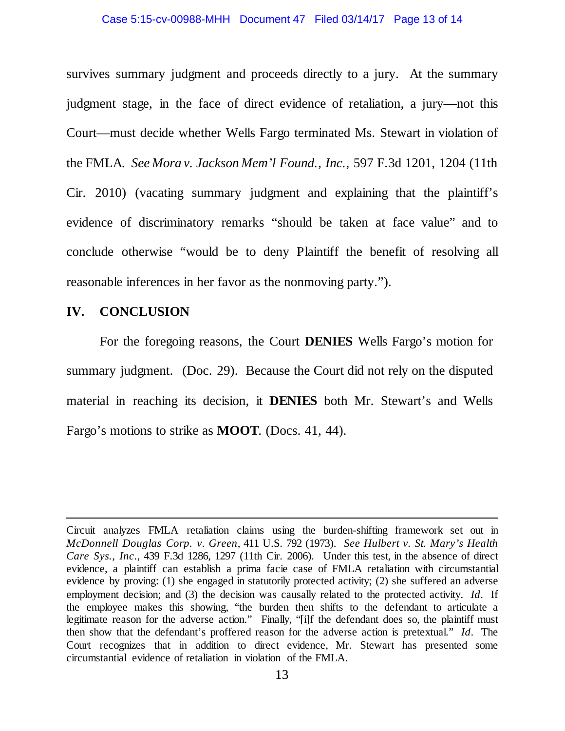#### Case 5:15-cv-00988-MHH Document 47 Filed 03/14/17 Page 13 of 14

survives summary judgment and proceeds directly to a jury. At the summary judgment stage, in the face of direct evidence of retaliation, a jury—not this Court—must decide whether Wells Fargo terminated Ms. Stewart in violation of the FMLA. *See Mora v. Jackson Mem'l Found., Inc.*, 597 F.3d 1201, 1204 (11th Cir. 2010) (vacating summary judgment and explaining that the plaintiff's evidence of discriminatory remarks "should be taken at face value" and to conclude otherwise "would be to deny Plaintiff the benefit of resolving all reasonable inferences in her favor as the nonmoving party.").

# **IV. CONCLUSION**

 $\overline{a}$ 

For the foregoing reasons, the Court **DENIES** Wells Fargo's motion for summary judgment. (Doc. 29). Because the Court did not rely on the disputed material in reaching its decision, it **DENIES** both Mr. Stewart's and Wells Fargo's motions to strike as **MOOT**. (Docs. 41, 44).

Circuit analyzes FMLA retaliation claims using the burden-shifting framework set out in *McDonnell Douglas Corp. v. Green*, 411 U.S. 792 (1973). *See Hulbert v. St. Mary's Health Care Sys., Inc.*, 439 F.3d 1286, 1297 (11th Cir. 2006). Under this test, in the absence of direct evidence, a plaintiff can establish a prima facie case of FMLA retaliation with circumstantial evidence by proving: (1) she engaged in statutorily protected activity; (2) she suffered an adverse employment decision; and (3) the decision was causally related to the protected activity. *Id*. If the employee makes this showing, "the burden then shifts to the defendant to articulate a legitimate reason for the adverse action." Finally, "[i]f the defendant does so, the plaintiff must then show that the defendant's proffered reason for the adverse action is pretextual." *Id*. The Court recognizes that in addition to direct evidence, Mr. Stewart has presented some circumstantial evidence of retaliation in violation of the FMLA.